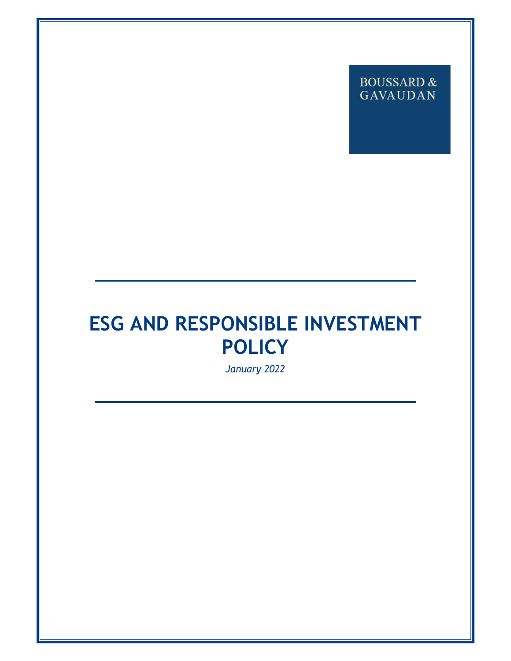# BOUSSARD  $\&$ **GAVAUDAN**

# **ESG AND RESPONSIBLE INVESTMENT POLICY**

*January 2022*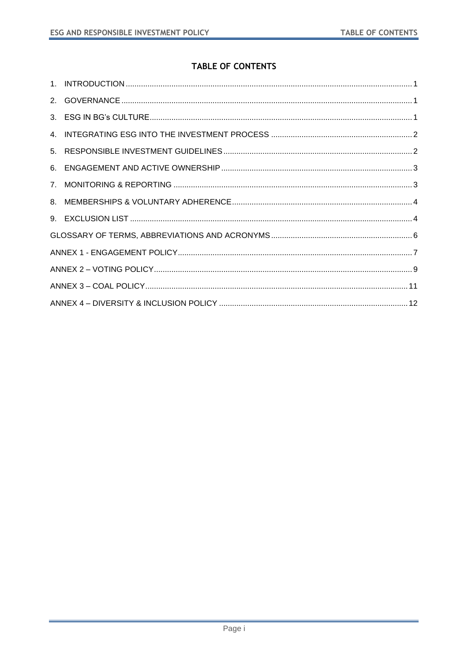# TABLE OF CONTENTS

| $7_{\circ}$ |  |  |
|-------------|--|--|
|             |  |  |
|             |  |  |
|             |  |  |
|             |  |  |
|             |  |  |
|             |  |  |
|             |  |  |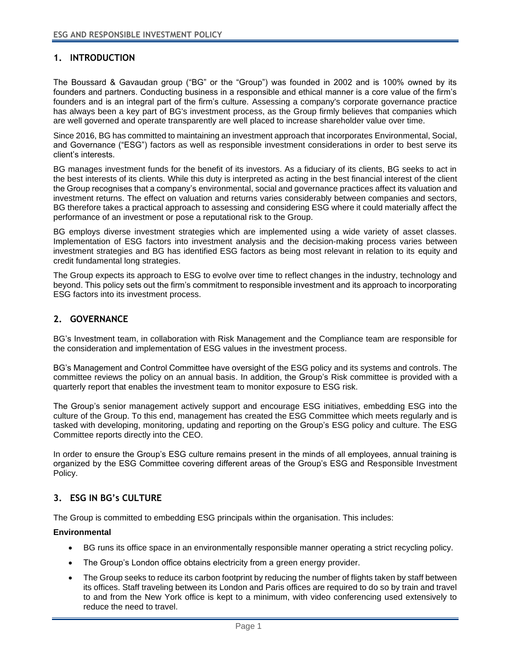# **1. INTRODUCTION**

<span id="page-2-0"></span>The Boussard & Gavaudan group ("BG" or the "Group") was founded in 2002 and is 100% owned by its founders and partners. Conducting business in a responsible and ethical manner is a core value of the firm's founders and is an integral part of the firm's culture. Assessing a company's corporate governance practice has always been a key part of BG's investment process, as the Group firmly believes that companies which are well governed and operate transparently are well placed to increase shareholder value over time.

Since 2016, BG has committed to maintaining an investment approach that incorporates Environmental, Social, and Governance ("ESG") factors as well as responsible investment considerations in order to best serve its client's interests.

BG manages investment funds for the benefit of its investors. As a fiduciary of its clients, BG seeks to act in the best interests of its clients. While this duty is interpreted as acting in the best financial interest of the client the Group recognises that a company's environmental, social and governance practices affect its valuation and investment returns. The effect on valuation and returns varies considerably between companies and sectors, BG therefore takes a practical approach to assessing and considering ESG where it could materially affect the performance of an investment or pose a reputational risk to the Group.

BG employs diverse investment strategies which are implemented using a wide variety of asset classes. Implementation of ESG factors into investment analysis and the decision-making process varies between investment strategies and BG has identified ESG factors as being most relevant in relation to its equity and credit fundamental long strategies.

The Group expects its approach to ESG to evolve over time to reflect changes in the industry, technology and beyond. This policy sets out the firm's commitment to responsible investment and its approach to incorporating ESG factors into its investment process.

# **2. GOVERNANCE**

BG's Investment team, in collaboration with Risk Management and the Compliance team are responsible for the consideration and implementation of ESG values in the investment process.

<span id="page-2-1"></span>BG's Management and Control Committee have oversight of the ESG policy and its systems and controls. The committee reviews the policy on an annual basis. In addition, the Group's Risk committee is provided with a quarterly report that enables the investment team to monitor exposure to ESG risk.

The Group's senior management actively support and encourage ESG initiatives, embedding ESG into the culture of the Group. To this end, management has created the ESG Committee which meets regularly and is tasked with developing, monitoring, updating and reporting on the Group's ESG policy and culture. The ESG Committee reports directly into the CEO.

In order to ensure the Group's ESG culture remains present in the minds of all employees, annual training is organized by the ESG Committee covering different areas of the Group's ESG and Responsible Investment Policy.

#### **3. ESG IN BG's CULTURE**

The Group is committed to embedding ESG principals within the organisation. This includes:

#### <span id="page-2-2"></span>**Environmental**

- BG runs its office space in an environmentally responsible manner operating a strict recycling policy.
- The Group's London office obtains electricity from a green energy provider.
- The Group seeks to reduce its carbon footprint by reducing the number of flights taken by staff between its offices. Staff traveling between its London and Paris offices are required to do so by train and travel to and from the New York office is kept to a minimum, with video conferencing used extensively to reduce the need to travel.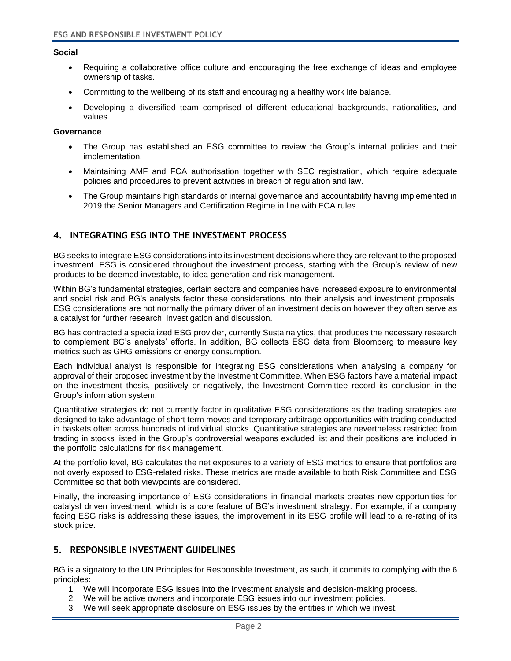#### **Social**

- Requiring a collaborative office culture and encouraging the free exchange of ideas and employee ownership of tasks.
- Committing to the wellbeing of its staff and encouraging a healthy work life balance.
- Developing a diversified team comprised of different educational backgrounds, nationalities, and values.

#### **Governance**

- The Group has established an ESG committee to review the Group's internal policies and their implementation.
- Maintaining AMF and FCA authorisation together with SEC registration, which require adequate policies and procedures to prevent activities in breach of regulation and law.
- The Group maintains high standards of internal governance and accountability having implemented in 2019 the Senior Managers and Certification Regime in line with FCA rules.

## **4. INTEGRATING ESG INTO THE INVESTMENT PROCESS**

<span id="page-3-0"></span>BG seeks to integrate ESG considerations into its investment decisions where they are relevant to the proposed investment. ESG is considered throughout the investment process, starting with the Group's review of new products to be deemed investable, to idea generation and risk management.

Within BG's fundamental strategies, certain sectors and companies have increased exposure to environmental and social risk and BG's analysts factor these considerations into their analysis and investment proposals. ESG considerations are not normally the primary driver of an investment decision however they often serve as a catalyst for further research, investigation and discussion.

BG has contracted a specialized ESG provider, currently Sustainalytics, that produces the necessary research to complement BG's analysts' efforts. In addition, BG collects ESG data from Bloomberg to measure key metrics such as GHG emissions or energy consumption.

Each individual analyst is responsible for integrating ESG considerations when analysing a company for approval of their proposed investment by the Investment Committee. When ESG factors have a material impact on the investment thesis, positively or negatively, the Investment Committee record its conclusion in the Group's information system.

Quantitative strategies do not currently factor in qualitative ESG considerations as the trading strategies are designed to take advantage of short term moves and temporary arbitrage opportunities with trading conducted in baskets often across hundreds of individual stocks. Quantitative strategies are nevertheless restricted from trading in stocks listed in the Group's controversial weapons excluded list and their positions are included in the portfolio calculations for risk management.

At the portfolio level, BG calculates the net exposures to a variety of ESG metrics to ensure that portfolios are not overly exposed to ESG-related risks. These metrics are made available to both Risk Committee and ESG Committee so that both viewpoints are considered.

Finally, the increasing importance of ESG considerations in financial markets creates new opportunities for catalyst driven investment, which is a core feature of BG's investment strategy. For example, if a company facing ESG risks is addressing these issues, the improvement in its ESG profile will lead to a re-rating of its stock price.

#### **5. RESPONSIBLE INVESTMENT GUIDELINES**

<span id="page-3-1"></span>BG is a signatory to the UN Principles for Responsible Investment, as such, it commits to complying with the 6 principles:

- 1. We will incorporate ESG issues into the investment analysis and decision-making process.
- 2. We will be active owners and incorporate ESG issues into our investment policies.
- 3. We will seek appropriate disclosure on ESG issues by the entities in which we invest.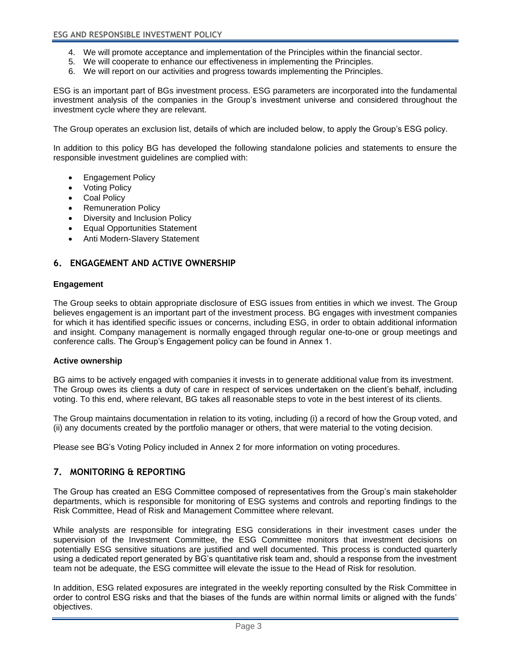- 4. We will promote acceptance and implementation of the Principles within the financial sector.
- 5. We will cooperate to enhance our effectiveness in implementing the Principles.
- 6. We will report on our activities and progress towards implementing the Principles.

ESG is an important part of BGs investment process. ESG parameters are incorporated into the fundamental investment analysis of the companies in the Group's investment universe and considered throughout the investment cycle where they are relevant.

The Group operates an exclusion list, details of which are included below, to apply the Group's ESG policy.

In addition to this policy BG has developed the following standalone policies and statements to ensure the responsible investment guidelines are complied with:

- Engagement Policy
- Voting Policy
- Coal Policy
- Remuneration Policy
- Diversity and Inclusion Policy
- Equal Opportunities Statement
- Anti Modern-Slavery Statement

# **6. ENGAGEMENT AND ACTIVE OWNERSHIP**

#### **Engagement**

<span id="page-4-0"></span>The Group seeks to obtain appropriate disclosure of ESG issues from entities in which we invest. The Group believes engagement is an important part of the investment process. BG engages with investment companies for which it has identified specific issues or concerns, including ESG, in order to obtain additional information and insight. Company management is normally engaged through regular one-to-one or group meetings and conference calls. The Group's Engagement policy can be found in Annex 1.

#### **Active ownership**

BG aims to be actively engaged with companies it invests in to generate additional value from its investment. The Group owes its clients a duty of care in respect of services undertaken on the client's behalf, including voting. To this end, where relevant, BG takes all reasonable steps to vote in the best interest of its clients.

The Group maintains documentation in relation to its voting, including (i) a record of how the Group voted, and (ii) any documents created by the portfolio manager or others, that were material to the voting decision.

Please see BG's Voting Policy included in Annex 2 for more information on voting procedures.

# **7. MONITORING & REPORTING**

<span id="page-4-1"></span>The Group has created an ESG Committee composed of representatives from the Group's main stakeholder departments, which is responsible for monitoring of ESG systems and controls and reporting findings to the Risk Committee, Head of Risk and Management Committee where relevant.

While analysts are responsible for integrating ESG considerations in their investment cases under the supervision of the Investment Committee, the ESG Committee monitors that investment decisions on potentially ESG sensitive situations are justified and well documented. This process is conducted quarterly using a dedicated report generated by BG's quantitative risk team and, should a response from the investment team not be adequate, the ESG committee will elevate the issue to the Head of Risk for resolution.

In addition, ESG related exposures are integrated in the weekly reporting consulted by the Risk Committee in order to control ESG risks and that the biases of the funds are within normal limits or aligned with the funds' objectives.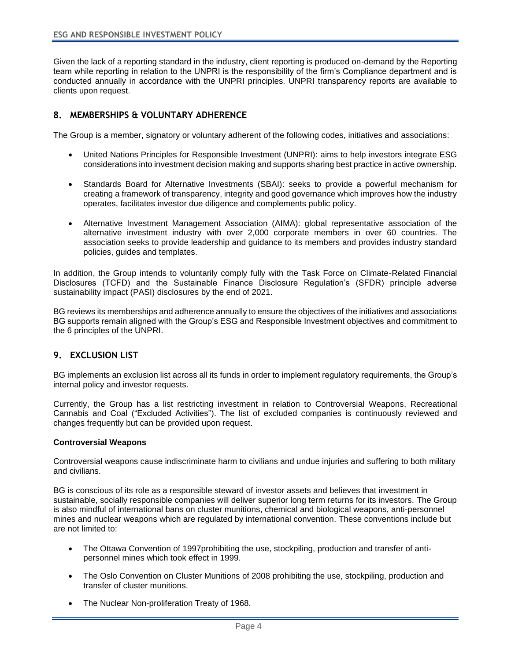Given the lack of a reporting standard in the industry, client reporting is produced on-demand by the Reporting team while reporting in relation to the UNPRI is the responsibility of the firm's Compliance department and is conducted annually in accordance with the UNPRI principles. UNPRI transparency reports are available to clients upon request.

# **8. MEMBERSHIPS & VOLUNTARY ADHERENCE**

<span id="page-5-0"></span>The Group is a member, signatory or voluntary adherent of the following codes, initiatives and associations:

- United Nations Principles for Responsible Investment (UNPRI): aims to help investors integrate ESG considerations into investment decision making and supports sharing best practice in active ownership.
- Standards Board for Alternative Investments (SBAI): seeks to provide a powerful mechanism for creating a framework of transparency, integrity and good governance which improves how the industry operates, facilitates investor due diligence and complements public policy.
- Alternative Investment Management Association (AIMA): global representative association of the alternative investment industry with over 2,000 corporate members in over 60 countries. The association seeks to provide leadership and guidance to its members and provides industry standard policies, guides and templates.

In addition, the Group intends to voluntarily comply fully with the Task Force on Climate-Related Financial Disclosures (TCFD) and the Sustainable Finance Disclosure Regulation's (SFDR) principle adverse sustainability impact (PASI) disclosures by the end of 2021.

BG reviews its memberships and adherence annually to ensure the objectives of the initiatives and associations BG supports remain aligned with the Group's ESG and Responsible Investment objectives and commitment to the 6 principles of the UNPRI.

#### **9. EXCLUSION LIST**

BG implements an exclusion list across all its funds in order to implement regulatory requirements, the Group's internal policy and investor requests.

<span id="page-5-1"></span>Currently, the Group has a list restricting investment in relation to Controversial Weapons, Recreational Cannabis and Coal ("Excluded Activities"). The list of excluded companies is continuously reviewed and changes frequently but can be provided upon request.

#### **Controversial Weapons**

Controversial weapons cause indiscriminate harm to civilians and undue injuries and suffering to both military and civilians.

BG is conscious of its role as a responsible steward of investor assets and believes that investment in sustainable, socially responsible companies will deliver superior long term returns for its investors. The Group is also mindful of international bans on cluster munitions, chemical and biological weapons, anti-personnel mines and nuclear weapons which are regulated by international convention. These conventions include but are not limited to:

- The Ottawa Convention of 1997prohibiting the use, stockpiling, production and transfer of antipersonnel mines which took effect in 1999.
- The Oslo Convention on Cluster Munitions of 2008 prohibiting the use, stockpiling, production and transfer of cluster munitions.
- The Nuclear Non-proliferation Treaty of 1968.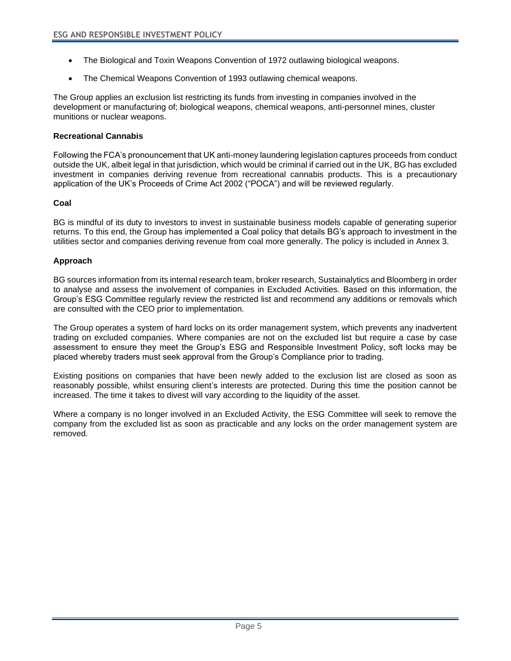- The Biological and Toxin Weapons Convention of 1972 outlawing biological weapons.
- The Chemical Weapons Convention of 1993 outlawing chemical weapons.

The Group applies an exclusion list restricting its funds from investing in companies involved in the development or manufacturing of; biological weapons, chemical weapons, anti-personnel mines, cluster munitions or nuclear weapons.

#### **Recreational Cannabis**

Following the FCA's pronouncement that UK anti-money laundering legislation captures proceeds from conduct outside the UK, albeit legal in that jurisdiction, which would be criminal if carried out in the UK, BG has excluded investment in companies deriving revenue from recreational cannabis products. This is a precautionary application of the UK's Proceeds of Crime Act 2002 ("POCA") and will be reviewed regularly.

#### **Coal**

BG is mindful of its duty to investors to invest in sustainable business models capable of generating superior returns. To this end, the Group has implemented a Coal policy that details BG's approach to investment in the utilities sector and companies deriving revenue from coal more generally. The policy is included in Annex 3.

#### **Approach**

BG sources information from its internal research team, broker research, Sustainalytics and Bloomberg in order to analyse and assess the involvement of companies in Excluded Activities. Based on this information, the Group's ESG Committee regularly review the restricted list and recommend any additions or removals which are consulted with the CEO prior to implementation.

The Group operates a system of hard locks on its order management system, which prevents any inadvertent trading on excluded companies. Where companies are not on the excluded list but require a case by case assessment to ensure they meet the Group's ESG and Responsible Investment Policy, soft locks may be placed whereby traders must seek approval from the Group's Compliance prior to trading.

Existing positions on companies that have been newly added to the exclusion list are closed as soon as reasonably possible, whilst ensuring client's interests are protected. During this time the position cannot be increased. The time it takes to divest will vary according to the liquidity of the asset.

Where a company is no longer involved in an Excluded Activity, the ESG Committee will seek to remove the company from the excluded list as soon as practicable and any locks on the order management system are removed.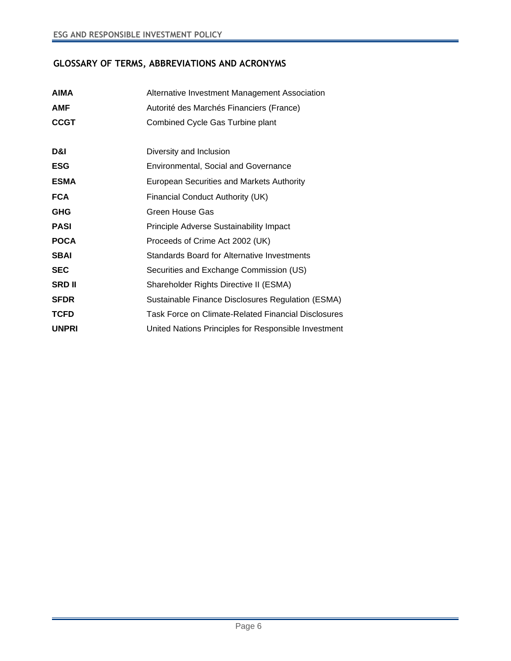# **GLOSSARY OF TERMS, ABBREVIATIONS AND ACRONYMS**

<span id="page-7-0"></span>

| <b>AIMA</b>   | Alternative Investment Management Association        |
|---------------|------------------------------------------------------|
| <b>AMF</b>    | Autorité des Marchés Financiers (France)             |
| <b>CCGT</b>   | Combined Cycle Gas Turbine plant                     |
|               |                                                      |
| D&I           | Diversity and Inclusion                              |
| <b>ESG</b>    | <b>Environmental, Social and Governance</b>          |
| <b>ESMA</b>   | European Securities and Markets Authority            |
| <b>FCA</b>    | Financial Conduct Authority (UK)                     |
| <b>GHG</b>    | Green House Gas                                      |
| <b>PASI</b>   | Principle Adverse Sustainability Impact              |
| <b>POCA</b>   | Proceeds of Crime Act 2002 (UK)                      |
| <b>SBAI</b>   | <b>Standards Board for Alternative Investments</b>   |
| <b>SEC</b>    | Securities and Exchange Commission (US)              |
| <b>SRD II</b> | Shareholder Rights Directive II (ESMA)               |
| <b>SFDR</b>   | Sustainable Finance Disclosures Regulation (ESMA)    |
| <b>TCFD</b>   | Task Force on Climate-Related Financial Disclosures  |
| <b>UNPRI</b>  | United Nations Principles for Responsible Investment |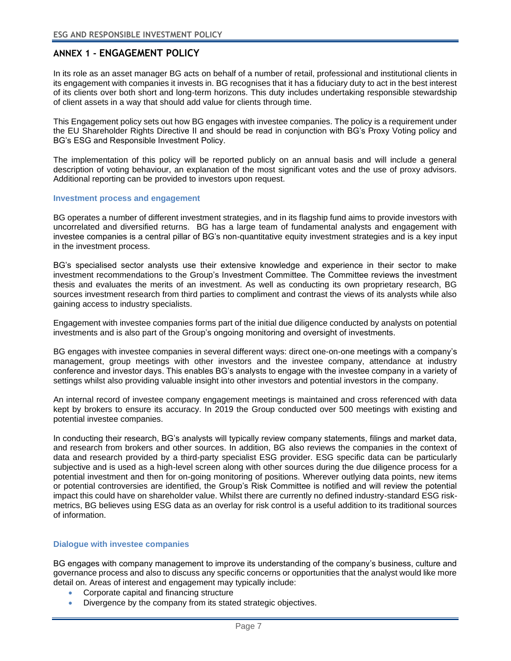# **ANNEX 1 - ENGAGEMENT POLICY**

<span id="page-8-0"></span>In its role as an asset manager BG acts on behalf of a number of retail, professional and institutional clients in its engagement with companies it invests in. BG recognises that it has a fiduciary duty to act in the best interest of its clients over both short and long-term horizons. This duty includes undertaking responsible stewardship of client assets in a way that should add value for clients through time.

This Engagement policy sets out how BG engages with investee companies. The policy is a requirement under the EU Shareholder Rights Directive II and should be read in conjunction with BG's Proxy Voting policy and BG's ESG and Responsible Investment Policy.

The implementation of this policy will be reported publicly on an annual basis and will include a general description of voting behaviour, an explanation of the most significant votes and the use of proxy advisors. Additional reporting can be provided to investors upon request.

#### **Investment process and engagement**

BG operates a number of different investment strategies, and in its flagship fund aims to provide investors with uncorrelated and diversified returns. BG has a large team of fundamental analysts and engagement with investee companies is a central pillar of BG's non-quantitative equity investment strategies and is a key input in the investment process.

BG's specialised sector analysts use their extensive knowledge and experience in their sector to make investment recommendations to the Group's Investment Committee. The Committee reviews the investment thesis and evaluates the merits of an investment. As well as conducting its own proprietary research, BG sources investment research from third parties to compliment and contrast the views of its analysts while also gaining access to industry specialists.

Engagement with investee companies forms part of the initial due diligence conducted by analysts on potential investments and is also part of the Group's ongoing monitoring and oversight of investments.

BG engages with investee companies in several different ways: direct one-on-one meetings with a company's management, group meetings with other investors and the investee company, attendance at industry conference and investor days. This enables BG's analysts to engage with the investee company in a variety of settings whilst also providing valuable insight into other investors and potential investors in the company.

An internal record of investee company engagement meetings is maintained and cross referenced with data kept by brokers to ensure its accuracy. In 2019 the Group conducted over 500 meetings with existing and potential investee companies.

In conducting their research, BG's analysts will typically review company statements, filings and market data, and research from brokers and other sources. In addition, BG also reviews the companies in the context of data and research provided by a third-party specialist ESG provider. ESG specific data can be particularly subjective and is used as a high-level screen along with other sources during the due diligence process for a potential investment and then for on-going monitoring of positions. Wherever outlying data points, new items or potential controversies are identified, the Group's Risk Committee is notified and will review the potential impact this could have on shareholder value. Whilst there are currently no defined industry-standard ESG riskmetrics, BG believes using ESG data as an overlay for risk control is a useful addition to its traditional sources of information.

#### **Dialogue with investee companies**

BG engages with company management to improve its understanding of the company's business, culture and governance process and also to discuss any specific concerns or opportunities that the analyst would like more detail on. Areas of interest and engagement may typically include:

- Corporate capital and financing structure
- Divergence by the company from its stated strategic objectives.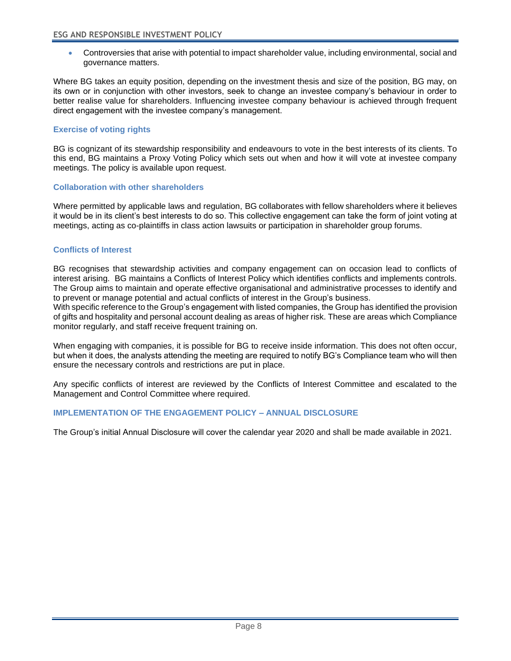• Controversies that arise with potential to impact shareholder value, including environmental, social and governance matters.

Where BG takes an equity position, depending on the investment thesis and size of the position, BG may, on its own or in conjunction with other investors, seek to change an investee company's behaviour in order to better realise value for shareholders. Influencing investee company behaviour is achieved through frequent direct engagement with the investee company's management.

#### **Exercise of voting rights**

BG is cognizant of its stewardship responsibility and endeavours to vote in the best interests of its clients. To this end, BG maintains a Proxy Voting Policy which sets out when and how it will vote at investee company meetings. The policy is available upon request.

#### **Collaboration with other shareholders**

Where permitted by applicable laws and regulation, BG collaborates with fellow shareholders where it believes it would be in its client's best interests to do so. This collective engagement can take the form of joint voting at meetings, acting as co-plaintiffs in class action lawsuits or participation in shareholder group forums.

#### **Conflicts of Interest**

BG recognises that stewardship activities and company engagement can on occasion lead to conflicts of interest arising. BG maintains a Conflicts of Interest Policy which identifies conflicts and implements controls. The Group aims to maintain and operate effective organisational and administrative processes to identify and to prevent or manage potential and actual conflicts of interest in the Group's business.

With specific reference to the Group's engagement with listed companies, the Group has identified the provision of gifts and hospitality and personal account dealing as areas of higher risk. These are areas which Compliance monitor regularly, and staff receive frequent training on.

When engaging with companies, it is possible for BG to receive inside information. This does not often occur, but when it does, the analysts attending the meeting are required to notify BG's Compliance team who will then ensure the necessary controls and restrictions are put in place.

Any specific conflicts of interest are reviewed by the Conflicts of Interest Committee and escalated to the Management and Control Committee where required.

### **IMPLEMENTATION OF THE ENGAGEMENT POLICY – ANNUAL DISCLOSURE**

The Group's initial Annual Disclosure will cover the calendar year 2020 and shall be made available in 2021.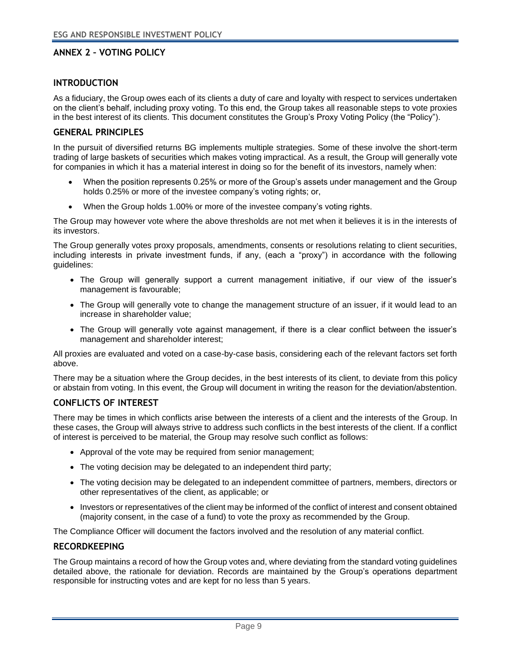## **ANNEX 2 – VOTING POLICY**

## **INTRODUCTION**

<span id="page-10-0"></span>As a fiduciary, the Group owes each of its clients a duty of care and loyalty with respect to services undertaken on the client's behalf, including proxy voting. To this end, the Group takes all reasonable steps to vote proxies in the best interest of its clients. This document constitutes the Group's Proxy Voting Policy (the "Policy").

#### **GENERAL PRINCIPLES**

In the pursuit of diversified returns BG implements multiple strategies. Some of these involve the short-term trading of large baskets of securities which makes voting impractical. As a result, the Group will generally vote for companies in which it has a material interest in doing so for the benefit of its investors, namely when:

- When the position represents 0.25% or more of the Group's assets under management and the Group holds 0.25% or more of the investee company's voting rights; or,
- When the Group holds 1.00% or more of the investee company's voting rights.

The Group may however vote where the above thresholds are not met when it believes it is in the interests of its investors.

The Group generally votes proxy proposals, amendments, consents or resolutions relating to client securities, including interests in private investment funds, if any, (each a "proxy") in accordance with the following guidelines:

- The Group will generally support a current management initiative, if our view of the issuer's management is favourable;
- The Group will generally vote to change the management structure of an issuer, if it would lead to an increase in shareholder value;
- The Group will generally vote against management, if there is a clear conflict between the issuer's management and shareholder interest;

All proxies are evaluated and voted on a case-by-case basis, considering each of the relevant factors set forth above.

There may be a situation where the Group decides, in the best interests of its client, to deviate from this policy or abstain from voting. In this event, the Group will document in writing the reason for the deviation/abstention.

#### **CONFLICTS OF INTEREST**

There may be times in which conflicts arise between the interests of a client and the interests of the Group. In these cases, the Group will always strive to address such conflicts in the best interests of the client. If a conflict of interest is perceived to be material, the Group may resolve such conflict as follows:

- Approval of the vote may be required from senior management;
- The voting decision may be delegated to an independent third party;
- The voting decision may be delegated to an independent committee of partners, members, directors or other representatives of the client, as applicable; or
- Investors or representatives of the client may be informed of the conflict of interest and consent obtained (majority consent, in the case of a fund) to vote the proxy as recommended by the Group.

The Compliance Officer will document the factors involved and the resolution of any material conflict.

#### **RECORDKEEPING**

The Group maintains a record of how the Group votes and, where deviating from the standard voting guidelines detailed above, the rationale for deviation. Records are maintained by the Group's operations department responsible for instructing votes and are kept for no less than 5 years.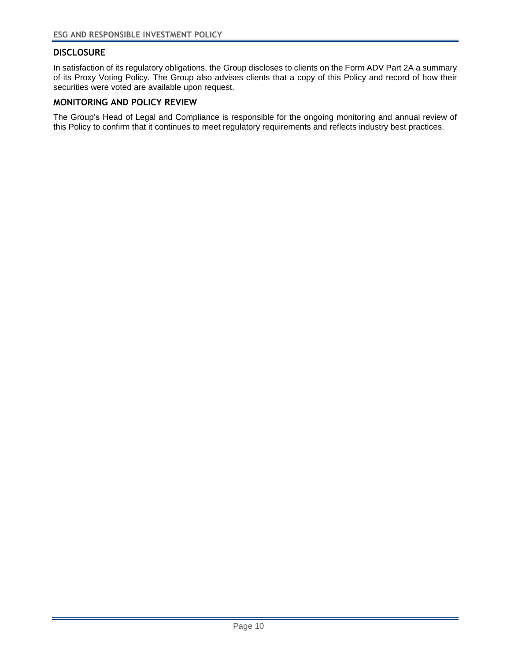# **DISCLOSURE**

In satisfaction of its regulatory obligations, the Group discloses to clients on the Form ADV Part 2A a summary of its Proxy Voting Policy. The Group also advises clients that a copy of this Policy and record of how their securities were voted are available upon request.

## **MONITORING AND POLICY REVIEW**

The Group's Head of Legal and Compliance is responsible for the ongoing monitoring and annual review of this Policy to confirm that it continues to meet regulatory requirements and reflects industry best practices.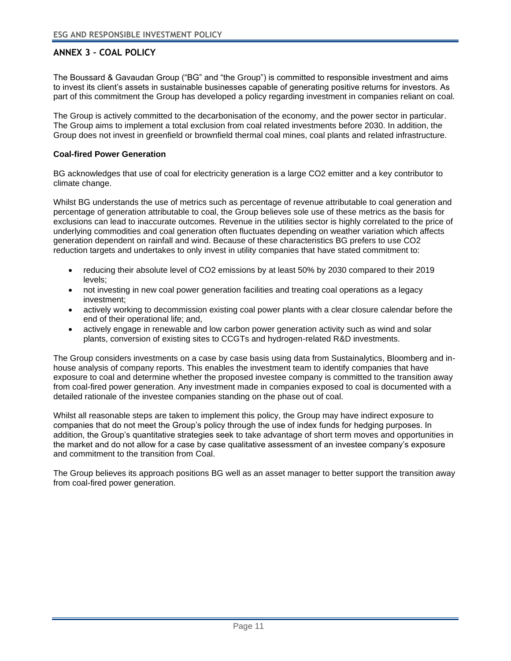# **ANNEX 3 – COAL POLICY**

<span id="page-12-0"></span>The Boussard & Gavaudan Group ("BG" and "the Group") is committed to responsible investment and aims to invest its client's assets in sustainable businesses capable of generating positive returns for investors. As part of this commitment the Group has developed a policy regarding investment in companies reliant on coal.

The Group is actively committed to the decarbonisation of the economy, and the power sector in particular. The Group aims to implement a total exclusion from coal related investments before 2030. In addition, the Group does not invest in greenfield or brownfield thermal coal mines, coal plants and related infrastructure.

#### **Coal-fired Power Generation**

BG acknowledges that use of coal for electricity generation is a large CO2 emitter and a key contributor to climate change.

Whilst BG understands the use of metrics such as percentage of revenue attributable to coal generation and percentage of generation attributable to coal, the Group believes sole use of these metrics as the basis for exclusions can lead to inaccurate outcomes. Revenue in the utilities sector is highly correlated to the price of underlying commodities and coal generation often fluctuates depending on weather variation which affects generation dependent on rainfall and wind. Because of these characteristics BG prefers to use CO2 reduction targets and undertakes to only invest in utility companies that have stated commitment to:

- reducing their absolute level of CO2 emissions by at least 50% by 2030 compared to their 2019 levels;
- not investing in new coal power generation facilities and treating coal operations as a legacy investment;
- actively working to decommission existing coal power plants with a clear closure calendar before the end of their operational life; and,
- actively engage in renewable and low carbon power generation activity such as wind and solar plants, conversion of existing sites to CCGTs and hydrogen-related R&D investments.

The Group considers investments on a case by case basis using data from Sustainalytics, Bloomberg and inhouse analysis of company reports. This enables the investment team to identify companies that have exposure to coal and determine whether the proposed investee company is committed to the transition away from coal-fired power generation. Any investment made in companies exposed to coal is documented with a detailed rationale of the investee companies standing on the phase out of coal.

Whilst all reasonable steps are taken to implement this policy, the Group may have indirect exposure to companies that do not meet the Group's policy through the use of index funds for hedging purposes. In addition, the Group's quantitative strategies seek to take advantage of short term moves and opportunities in the market and do not allow for a case by case qualitative assessment of an investee company's exposure and commitment to the transition from Coal.

The Group believes its approach positions BG well as an asset manager to better support the transition away from coal-fired power generation.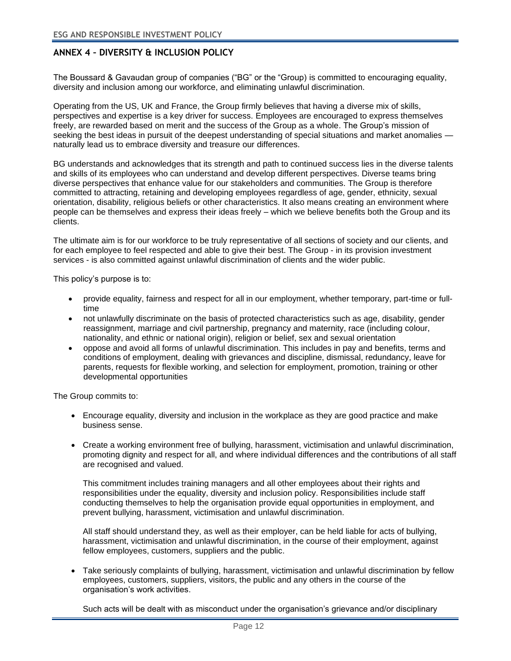# **ANNEX 4 – DIVERSITY & INCLUSION POLICY**

The Boussard & Gavaudan group of companies ("BG" or the "Group) is committed to encouraging equality, diversity and inclusion among our workforce, and eliminating unlawful discrimination.

<span id="page-13-0"></span>Operating from the US, UK and France, the Group firmly believes that having a diverse mix of skills, perspectives and expertise is a key driver for success. Employees are encouraged to express themselves freely, are rewarded based on merit and the success of the Group as a whole. The Group's mission of seeking the best ideas in pursuit of the deepest understanding of special situations and market anomalies naturally lead us to embrace diversity and treasure our differences.

BG understands and acknowledges that its strength and path to continued success lies in the diverse talents and skills of its employees who can understand and develop different perspectives. Diverse teams bring diverse perspectives that enhance value for our stakeholders and communities. The Group is therefore committed to attracting, retaining and developing employees regardless of age, gender, ethnicity, sexual orientation, disability, religious beliefs or other characteristics. It also means creating an environment where people can be themselves and express their ideas freely – which we believe benefits both the Group and its clients.

The ultimate aim is for our workforce to be truly representative of all sections of society and our clients, and for each employee to feel respected and able to give their best. The Group - in its provision investment services - is also committed against unlawful discrimination of clients and the wider public.

This policy's purpose is to:

- provide equality, fairness and respect for all in our employment, whether temporary, part-time or fulltime
- not unlawfully discriminate on the basis of protected characteristics such as age, disability, gender reassignment, marriage and civil partnership, pregnancy and maternity, race (including colour, nationality, and ethnic or national origin), religion or belief, sex and sexual orientation
- oppose and avoid all forms of unlawful discrimination. This includes in pay and benefits, terms and conditions of employment, dealing with grievances and discipline, dismissal, redundancy, leave for parents, requests for flexible working, and selection for employment, promotion, training or other developmental opportunities

The Group commits to:

- Encourage equality, diversity and inclusion in the workplace as they are good practice and make business sense.
- Create a working environment free of bullying, harassment, victimisation and unlawful discrimination, promoting dignity and respect for all, and where individual differences and the contributions of all staff are recognised and valued.

This commitment includes training managers and all other employees about their rights and responsibilities under the equality, diversity and inclusion policy. Responsibilities include staff conducting themselves to help the organisation provide equal opportunities in employment, and prevent bullying, harassment, victimisation and unlawful discrimination.

All staff should understand they, as well as their employer, can be held liable for acts of bullying, harassment, victimisation and unlawful discrimination, in the course of their employment, against fellow employees, customers, suppliers and the public.

• Take seriously complaints of bullying, harassment, victimisation and unlawful discrimination by fellow employees, customers, suppliers, visitors, the public and any others in the course of the organisation's work activities.

Such acts will be dealt with as misconduct under the organisation's grievance and/or disciplinary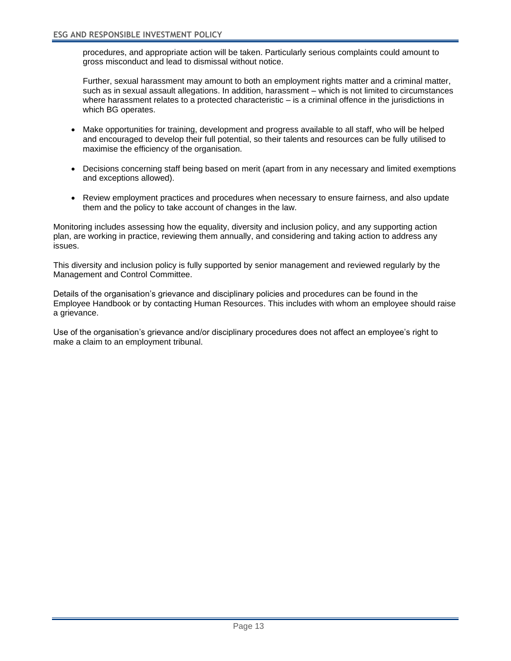procedures, and appropriate action will be taken. Particularly serious complaints could amount to gross misconduct and lead to dismissal without notice.

Further, sexual harassment may amount to both an employment rights matter and a criminal matter, such as in sexual assault allegations. In addition, harassment – which is not limited to circumstances where harassment relates to a protected characteristic – is a criminal offence in the jurisdictions in which BG operates.

- Make opportunities for training, development and progress available to all staff, who will be helped and encouraged to develop their full potential, so their talents and resources can be fully utilised to maximise the efficiency of the organisation.
- Decisions concerning staff being based on merit (apart from in any necessary and limited exemptions and exceptions allowed).
- Review employment practices and procedures when necessary to ensure fairness, and also update them and the policy to take account of changes in the law.

Monitoring includes assessing how the equality, diversity and inclusion policy, and any supporting action plan, are working in practice, reviewing them annually, and considering and taking action to address any issues.

This diversity and inclusion policy is fully supported by senior management and reviewed regularly by the Management and Control Committee.

Details of the organisation's grievance and disciplinary policies and procedures can be found in the Employee Handbook or by contacting Human Resources. This includes with whom an employee should raise a grievance.

Use of the organisation's grievance and/or disciplinary procedures does not affect an employee's right to make a claim to an employment tribunal.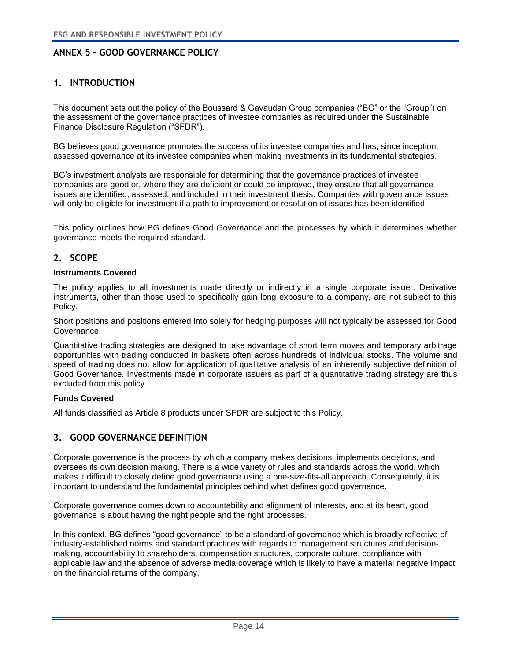# **ANNEX 5 – GOOD GOVERNANCE POLICY**

# **1. INTRODUCTION**

This document sets out the policy of the Boussard & Gavaudan Group companies ("BG" or the "Group") on the assessment of the governance practices of investee companies as required under the Sustainable Finance Disclosure Regulation ("SFDR").

BG believes good governance promotes the success of its investee companies and has, since inception, assessed governance at its investee companies when making investments in its fundamental strategies.

BG's investment analysts are responsible for determining that the governance practices of investee companies are good or, where they are deficient or could be improved, they ensure that all governance issues are identified, assessed, and included in their investment thesis. Companies with governance issues will only be eligible for investment if a path to improvement or resolution of issues has been identified.

This policy outlines how BG defines Good Governance and the processes by which it determines whether governance meets the required standard.

#### **2. SCOPE**

#### **Instruments Covered**

The policy applies to all investments made directly or indirectly in a single corporate issuer. Derivative instruments, other than those used to specifically gain long exposure to a company, are not subject to this Policy.

Short positions and positions entered into solely for hedging purposes will not typically be assessed for Good Governance.

Quantitative trading strategies are designed to take advantage of short term moves and temporary arbitrage opportunities with trading conducted in baskets often across hundreds of individual stocks. The volume and speed of trading does not allow for application of qualitative analysis of an inherently subjective definition of Good Governance. Investments made in corporate issuers as part of a quantitative trading strategy are thus excluded from this policy.

#### **Funds Covered**

All funds classified as Article 8 products under SFDR are subject to this Policy.

#### **3. GOOD GOVERNANCE DEFINITION**

Corporate governance is the process by which a company makes decisions, implements decisions, and oversees its own decision making. There is a wide variety of rules and standards across the world, which makes it difficult to closely define good governance using a one-size-fits-all approach. Consequently, it is important to understand the fundamental principles behind what defines good governance.

Corporate governance comes down to accountability and alignment of interests, and at its heart, good governance is about having the right people and the right processes.

In this context, BG defines "good governance" to be a standard of governance which is broadly reflective of industry-established norms and standard practices with regards to management structures and decisionmaking, accountability to shareholders, compensation structures, corporate culture, compliance with applicable law and the absence of adverse media coverage which is likely to have a material negative impact on the financial returns of the company.